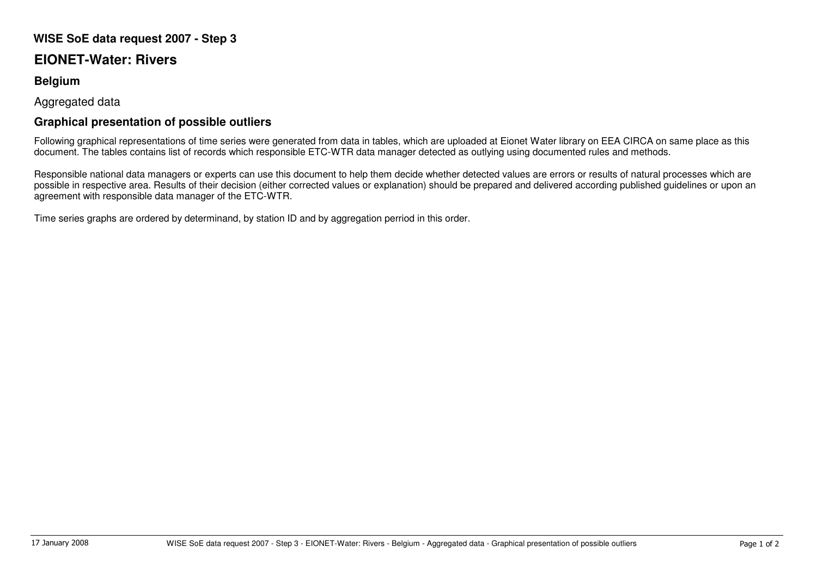## **WISE SoE data request 2007 - Step 3**

## **EIONET-Water: Rivers**

## **Belgium**

Aggregated data

## **Graphical presentation of possible outliers**

Following graphical representations of time series were generated from data in tables, which are uploaded at Eionet Water library on EEA CIRCA on same place as this document. The tables contains list of records which responsible ETC-WTR data manager detected as outlying using documented rules and methods.

Responsible national data managers or experts can use this document to help them decide whether detected values are errors or results of natural processes which are possible in respective area. Results of their decision (either corrected values or explanation) should be prepared and delivered according published guidelines or upon an agreement with responsible data manager of the ETC-WTR.

Time series graphs are ordered by determinand, by station ID and by aggregation perriod in this order.